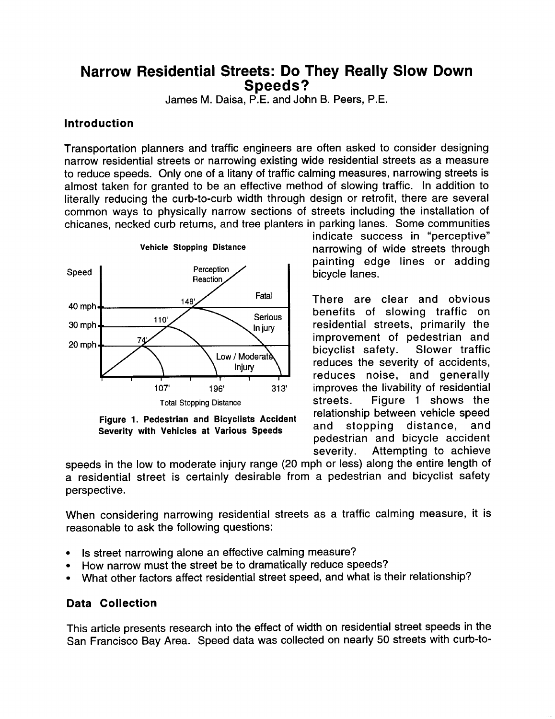# **Narrow Residential Streets: Do They Really Slow Down Speeds?**

James M. Daisa, P.E. and John B. Peers, P.E.

## **Introduction**

**Transportation planners and traffic engineers are often asked to consider designing narrow residential streets or narrowing** existing wide residential streets as a measure to reduce speeds. Only one of a litany of traffic calming measures, narrowing streets is almost taken for granted to be an effective method of slowing traffic. In addition to literally reducing the curb-to-curb width through design or retrofit, there are several common ways to physically narrow sections of streets including the installation of chicanes, necked curb returns, and tree planters in parking lanes. Some communities



**Figure 1. Pedestrian and Bicyclists Accident Severity with Vehicles at Various Speeds**

indicate success in "perceptive" narrowing of wide streets through painting edge lines or adding bicycle lanes.

There are clear and obvious benefits of slowing traffic on residential streets, primarily the improvement of pedestrian and<br>bicvclist safety. Slower traffic bicyclist safety. reduces the severity of accidents, reduces noise, and generally improves the livability of residential streets. Figure 1 shows the relationship between vehicle speed and stopping distance, and pedestrian and bicycle accident severity. Attempting to achieve

speeds in the low to moderate injury range (20 mph or less) along the entire length of **a** residential street is certainly desirable from a pedestrian and bicyclist safety perspective.

When considering narrowing residential streets as a traffic calming measure, it is reasonable to ask the following questions:

- Is street narrowing alone an effective calming measure?
- How narrow must the street be to dramatically reduce speeds?
- What other factors affect residential street speed, and what is their relationship?

#### **Data Collection**

**This article presents research into the effect of width on residential street speeds in the San Francisco Bay Area. Speed data was collected on nearly 50 streets with curb-to-**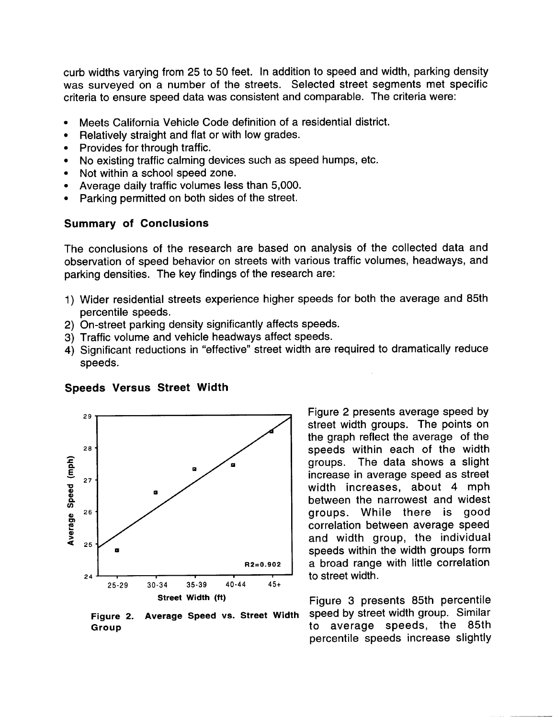curb widths varying from 25 to 50 feet. In addition to speed and width, parking density was surveyed on a number of the streets. Selected street segments met specific criteria to ensure speed data was consistent and comparable. The criteria were:

- . Meets California Vehicle Code definition of a residential district.
- Relatively straight and flat or with low grades.
- Provides for through traffic.
- No existing traffic calming devices such as speed humps, etc.
- Not within a school speed zone.
- Average daily traffic volumes less than 5,000.
- . Parking permitted on both sides of the street.

## Summary of Conclusions

The conclusions of the research are based on analysis of the collected data and observation of speed behavior on streets with various traffic volumes, headways, and parking densities. The key findings of the research are:

- 1) Wider residential streets experience higher speeds for both the average and 85th percentile speeds.
- 2) On-street parking density significantly affects speeds.
- 3) Traffic volume and vehicle headways affect speeds.
- 4) Significant reductions in "effective" street width are required to dramatically reduce speeds.



**Speeds Versus Street Width**

**Figure 2. Average Speed vs. Street Width Group**

Figure 2 presents average speed by street width groups. The points on the graph reflect the average of the speeds within each of the width groups. The data shows a slight increase in average speed as street width increases, about 4 mph between the narrowest and widest groups. While there is good correlation between average speed and width group, the individual speeds within the width groups form a broad range with little correlation to street width.

Figure 3 presents 85th percentile speed by street width group. Similar to average speeds, the 85th percentile speeds increase slightly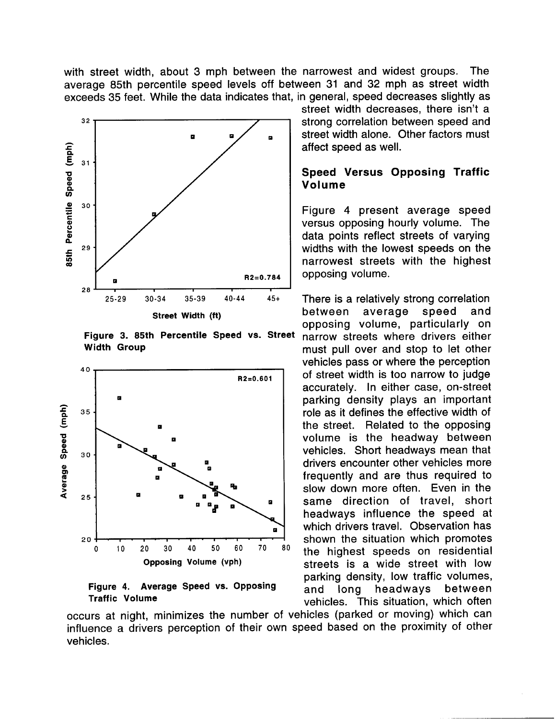with street width, about 3 mph between the narrowest and widest groups. The average 85th percentile speed levels off between 31 and 32 mph as street width exceeds 35 feet. While the data indicates that, in general, speed decreases slightly as



**Figure 3. 85th Percentile Speed vs. Street Width Group**



**Figure 4. Average Speed vs. Opposing Traffic Volume**

street width decreases, there isn't a strong correlation between speed and street width alone. Other factors must affect speed as well.

## **Speed Versus Opposing Traffic Volume**

**Figure 4 present average speed** versus opposing hourly volume. The data points reflect streets of varying widths with the lowest speeds on the narrowest streets with the highest opposing volume.

There is a relatively strong correlation between average speed and opposing volume, particularly on narrow streets where drivers either must pull over and stop to let other vehicles pass or where the perception of street width is too narrow to judge accurately. In either case, on-street parking density plays an important role as it defines the effective width of the street. Related to the opposing volume is the headway between vehicles. Short headways mean that drivers encounter other vehicles more frequently and are thus required to slow down more often. Even in the same direction of travel, short headways influence the speed at which drivers travel. Observation has shown the situation which promotes the highest speeds on residential streets is a wide street with low parking density, low traffic volumes, and long headways between vehicles. This situation, which often

occurs at night, minimizes the number of vehicles (parked or moving) which can influence a drivers perception of their own speed based on the proximity of other vehicles.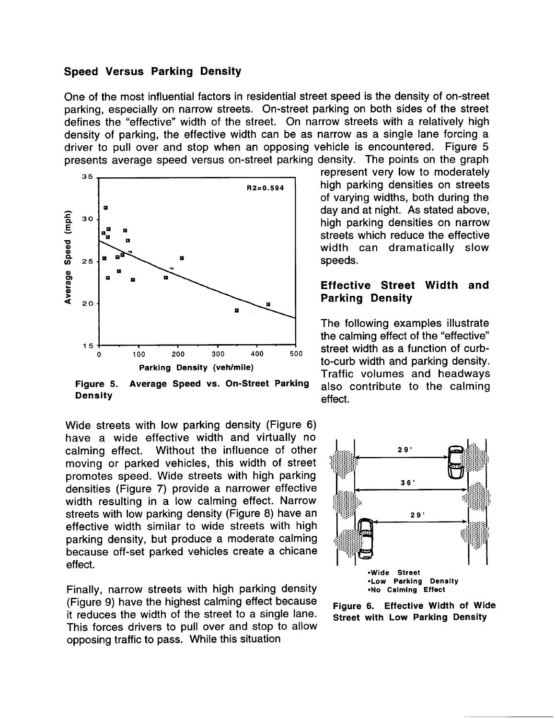#### **Speed Versus Parking Density**

**One of the most influential factors** in residential street speed is the density of on-street parking, especially on narrow streets. On-street parking on both sides of the street defines the "effective" width of the street. On narrow streets with a relatively high density of parking, the effective width can be as narrow as a single lane forcing a driver to pull over and stop when an opposing vehicle is encountered. Figure 5 presents average speed versus on-street parking density. The points on the graph



**Figure 5. Average Speed vs. On-Street Parking Density**

Wide streets with low parking density (Figure 6) have a wide effective width and virtually no calming effect. Without the influence of other moving or parked vehicles, this width of street promotes speed. Wide streets with high parking densities (Figure 7) provide a narrower effective width resulting in a low calming effect. Narrow streets with low parking density (Figure 8) have an effective width similar to wide streets with high parking density, but produce a moderate calming because off-set parked vehicles create a chicane effect.

Finally, narrow streets with high parking density (Figure 9) have the highest calming effect because it reduces the width of the street to a single lane. This forces drivers to pull over and stop to allow opposing traffic to pass. While this situation

represent very low to moderately high parking densities on streets of varying widths, both during the day and at night. As stated above, high parking densities on narrow streets which reduce the effective width can dramatically slow speeds.

#### **Effective Street Width and Parking Density**

**The following examples illustrate the calming effect of the "effective" street width as a function of curbto-curb width and parking density. Traffic volumes and headways also contribute to the calming effect.**



**Figure Street with Low Parking Density6. Effective Width of Wide**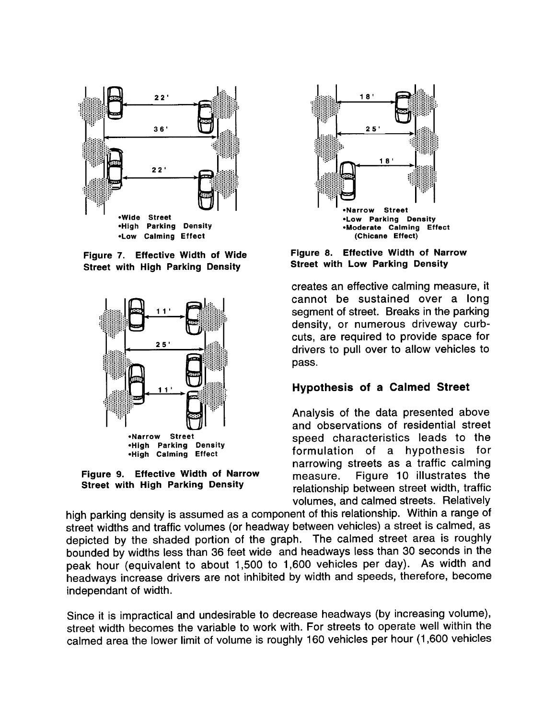

Figure 7. Effective Width of Wide **Street with High Parking Density** 



Figure 9. Effective Width of Narrow **Street with High Parking Density** 



Figure 8. **Effective Width of Narrow Street with Low Parking Density** 

creates an effective calming measure, it cannot be sustained over a long segment of street. Breaks in the parking density, or numerous driveway curbcuts, are required to provide space for drivers to pull over to allow vehicles to pass.

## **Hypothesis of a Calmed Street**

Analysis of the data presented above and observations of residential street speed characteristics leads to the formulation of a hypothesis for narrowing streets as a traffic calming Figure 10 illustrates the measure. relationship between street width, traffic volumes, and calmed streets. Relatively

high parking density is assumed as a component of this relationship. Within a range of street widths and traffic volumes (or headway between vehicles) a street is calmed, as depicted by the shaded portion of the graph. The calmed street area is roughly bounded by widths less than 36 feet wide and headways less than 30 seconds in the peak hour (equivalent to about 1,500 to 1,600 vehicles per day). As width and headways increase drivers are not inhibited by width and speeds, therefore, become independant of width.

Since it is impractical and undesirable to decrease headways (by increasing volume), street width becomes the variable to work with. For streets to operate well within the calmed area the lower limit of volume is roughly 160 vehicles per hour (1,600 vehicles